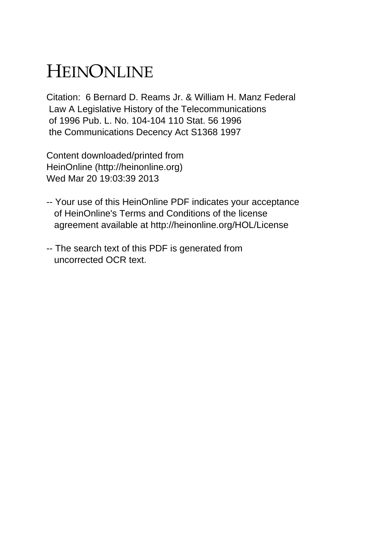# HEINONLINE

Citation: 6 Bernard D. Reams Jr. & William H. Manz Federal Law A Legislative History of the Telecommunications of 1996 Pub. L. No. 104-104 110 Stat. 56 1996 the Communications Decency Act S1368 1997

Content downloaded/printed from HeinOnline (http://heinonline.org) Wed Mar 20 19:03:39 2013

- -- Your use of this HeinOnline PDF indicates your acceptance of HeinOnline's Terms and Conditions of the license agreement available at http://heinonline.org/HOL/License
- -- The search text of this PDF is generated from uncorrected OCR text.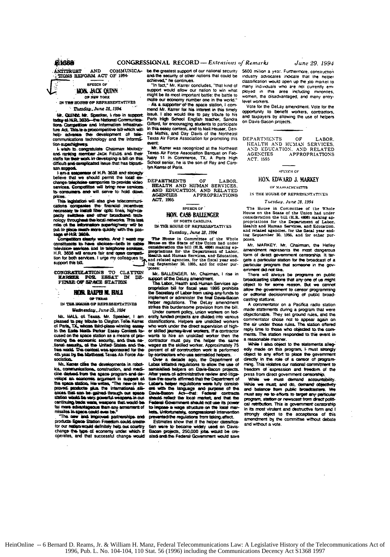ANTITRUST

**BPEECH OF HON. JACK OUTNN.** OP NEW YORK

DUTHE HOUSE OF REPRESENTATIVES Tuesday June 28, 1994

Mr. Quilinia, Mr. Speaken, I rise in support. tadaw ed HLRL 3636-the National Communications. Competition and Information Infrastructure Act. This is a procompetitive bill which will communications technology and the information superhighway.

I. wish to congratulate Chairman MARKEY and ranking member Jack FIELDS and their<br>staffs for their work in developing a bill on this difficult and complicated issue that has bipartisan smanas

I am a scaparage of H.R. 3636 and strongly. remove that we should permit the locaties-<br>change takephone campanies to pravide video services. Competition will bring: rew services.<br>to consumers and will serve to hold down. price

This legislation will also give telecommunications companies the financial incentives  $\frac{1}{2}$  and other broachand. t civ m. produce the information superhightest little last<br>mile of the information superhightesy with be<br>put in place mush more quickly with the passage of H.R. 3666.

Competition clearly works. And I want my cons siene and in telephone comic talawinina, si H.R. 3636 will ensure fair and open come H.R. 3636 Will entered ran and water the colleagues to

CONGRATULATIONS TO CLAYTON RARGER FOR ESSAY IN DE-**FERSE OF SPACE STATION** 

#### **HOR RAUPH M. HALL OR TRAVE**

IN THE HOUGH OF REPRESENTATIVES Wednesday, June 29, 1994

Mr. HALL, of Texas; Mr. Speaker, I am pleased to pay tribute to Clayton. Tolle Karrer<br>of Paris, TX, whose third-place winning easey in the Earle North Parker Essay Contr ist fooused on the space station as a means of pro-<br>moting the economic security, and thus na-<br>tional seaurity, of the United Station and the<br>free world. The contest, was approximate for the 4th year by the Mortheast Texas Air Force Assoc tina.

Mr. Kerrex cities the developments in robotics, communications, construction, and medivelops an economic argument in support of proved: products plus the international alli-<br>ances that can be gained through our space station would be very powerful w annes In our cantinuing bade wans, waspons that would be far more advantageous than any armament of missiles in space could ever be-

The new and improved partnerships and products Space Station Freedom could creat for our nations would definitely help our country-<br>change-the-type-oil economy under which it operates, and that successful change-would

**ANTITRUST AND COMMUNICA- be the greatest support of our national security**<br>TILONS REFORM ACT OF 1994: and the security of other nations that could be and the security of other nations that could be achieved." he continues.

"In fact," Mr. Karrer concludes, "that kind of support would allow our nation to win what might be its most important battle: the battle to make our economy number one in the world."

As a supporter of the space station, I commend Mr. Karrer for his interest in this timely issue. I also would like to pay tribute to his Paris High School English teacher, Sandra Gifford, for encouraging students to participate<br>In this essay contest, and to Neil Houser, Dennis Mathis, and Day Davis of the Northeast Texas Air Force Association for promoting this

Texas Air Force Association Banquet on Febhuary 1:1 in Commerce, TX. A Paris High School senior, he is the son of Ray and Carolyn Karres of Paris.

**DEPARTMENTS** OF LABOR. ETALITE AND HUMAN SERVICES.<br>AND EDUCATION, AND RELATED<br>AGENCIES APPROPRIATIONS ACT 1995

# SPERCH OF HON. CASS BALLENGER

OF NORTH CAROLINA. IN THE HOUSE OF REPRESENTATIVES

### Tuesday, June 28, 1994

The Rouse in Committee of the Whole<br>Rouse on the State of the Union had under<br>committee of the Union had under<br>committee of the Union had under<br>geographicans for the Department of Labor.<br>Health and Human Services, and Educ and related agencies, for the fiscal year ending. September 30, 1995, and for other pur-**INGSAS** 

Mr. BALLENGER, Mr. Chairman, J. rise in support of the Deliay amendment.

The Labor Health and Human Services anpropriation bill for fiscal year 1995 prohibits the Secretary of Labor from using any funds to<br>implement or administer the final Davis-Bacon helper regulations. The DeLay amendment strikes this burdensome provision from the bill.

Under current policy, union warkers on federaily funded projects are divided into various classifications. Helpers are unskilled workers who work under the direct supervision of higher skilled jaumey-level workers. If a contractor wants to hire an unskilled worker then the<br>contractor must pay the helper the same wages as the skilled worker. Approximately 75 percent of all construction work is performed by contractors who use seimskiled helpers.

Over a decade ago; the Department of<br>abor kittiated regulations to allow the use of Labor Initis samislelled helpers on: Davis-Bacon projects. After years of administrative review and liticiation the courts affirmed that the Department of Labor's helper regulations were fully consistent with the language and purpose of the Doute .<br>Jiharran Act that Faceral **CONTRACTO** should reflect the local market, and that the Federal Government should not use its power to impose a wage structure on the local marets. Unfortunat ely, congressional intervention prevantedithe regulations from brigge affect.

Estimates show that if the helper classification were to become widely used on Davis-<br>Bacon projects, 250,000 jobs would be created and the Federal Government would save

S600 million a year. Furthermore, construction industry advocates indicate that the helper classification would open up the job market to many individuals who are not currently employed in this area including minorities. women, the disadvantaged, and many entrylaval workers

Vote for the DeLay amendment. Vote for the opportunity to benefit workers, contractors,<br>and taxpayers by allowing the use of helpers on Davis-Bacon projects.

DEPARTMENTS ΩF LABOR. HEALTH AND HUMAN SERVICES, AND EDUCATION, AND RELATED AGENCIES APPROPRIATIONS ACT. 1995

#### SPEECH OF

# HON. EDWARD J. MARKEY

OF MASSACHUSETTS

IN THE HOUSE OF REPRESENTATIVES

#### Tuesday, June 28, 1994

The House in Committee of the Whole House on the State of the Union had under<br>consideration the bill (H.R. 4606) making appropriations for the Department of Labor. Health and Human Services, and: Education, ing Sentember 30, 1995, and for other nur- $_{\text{pass}}$ 

Mr. MARKEY. Mr. Chairman; the Helley amendment represents the mast dangerous<br>form of direct government censorship. It targets a particular station for the broadcast of a particular program that someone in the govemment did not like.

There will always be programs on public broadcasting stations that any one of us might<br>object to for some reason. But we cannot allow the government to censor programming or editorial decisionmaking of public broadcasting stations.

A commentator on a Pacifica radio station made statements during a program that were objectionable. They set ground rules, and the commentator chose not to appear again on the air under those rules. The station offered reply time to those who objected to the coms. The station responded to this event in a reasonable manner.

While I also object to the statements allegedly made on this program; I must strongly object to any effort to place the government directly in the role of a cansor of programming. This violates our national commitment to freedom of expression and freedom of the press from direct oovernment cansorship.

While we must demand accountability. While we must and do, demand objectivity and balance from public broadcasters. We must say no to efforts to target any particular program, station or newscast from direct political retribution. This is government censorship in its most virulent and destructive form and I strongly object to the acceptance of this amendment by the committee without debate and without a vote.

Mr. Karrer was recognized at the Northeast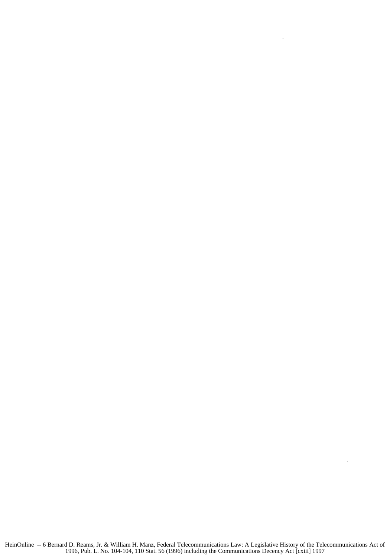HeinOnline -- 6 Bernard D. Reams, Jr. & William H. Manz, Federal Telecommunications Law: A Legislative History of the Telecommunications Act of 1996, Pub. L. No. 104-104, 110 Stat. 56 (1996) including the Communications Decency Act [cxiii] 1997

 $\bar{z}$ 

 $\bar{z}$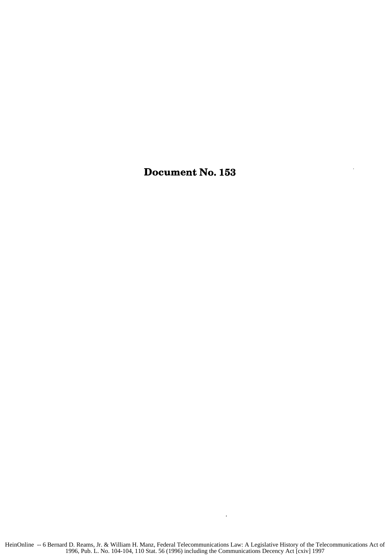# Document No. **153**

 $\ddot{\phantom{a}}$ 

 $\ddot{\phantom{0}}$